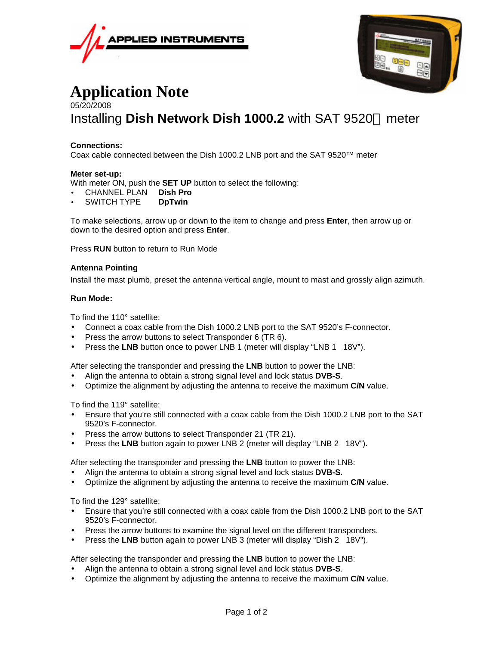



# **Application Note** 05/20/2008 Installing **Dish Network Dish 1000.2** with SAT 9520™ meter

## **Connections:**

Coax cable connected between the Dish 1000.2 LNB port and the SAT 9520™ meter

### **Meter set-up:**

With meter ON, push the **SET UP** button to select the following:

- CHANNEL PLAN **Dish Pro**
- SWITCH TYPE **DpTwin**

To make selections, arrow up or down to the item to change and press **Enter**, then arrow up or down to the desired option and press **Enter**.

Press **RUN** button to return to Run Mode

### **Antenna Pointing**

Install the mast plumb, preset the antenna vertical angle, mount to mast and grossly align azimuth.

#### **Run Mode:**

To find the 110° satellite:

- Connect a coax cable from the Dish 1000.2 LNB port to the SAT 9520's F-connector.
- Press the arrow buttons to select Transponder 6 (TR 6).
- Press the LNB button once to power LNB 1 (meter will display "LNB 1 18V").

After selecting the transponder and pressing the **LNB** button to power the LNB:

- Align the antenna to obtain a strong signal level and lock status **DVB-S**.
- Optimize the alignment by adjusting the antenna to receive the maximum **C/N** value.

To find the 119° satellite:

- Ensure that you're still connected with a coax cable from the Dish 1000.2 LNB port to the SAT 9520's F-connector.
- Press the arrow buttons to select Transponder 21 (TR 21).
- Press the **LNB** button again to power LNB 2 (meter will display "LNB 2 18V").

After selecting the transponder and pressing the **LNB** button to power the LNB:

- Align the antenna to obtain a strong signal level and lock status **DVB-S**.
- Optimize the alignment by adjusting the antenna to receive the maximum **C/N** value.

To find the 129° satellite:

- Ensure that you're still connected with a coax cable from the Dish 1000.2 LNB port to the SAT 9520's F-connector.
- Press the arrow buttons to examine the signal level on the different transponders.
- Press the LNB button again to power LNB 3 (meter will display "Dish 2 18V").

After selecting the transponder and pressing the **LNB** button to power the LNB:

- Align the antenna to obtain a strong signal level and lock status **DVB-S**.
- Optimize the alignment by adjusting the antenna to receive the maximum **C/N** value.